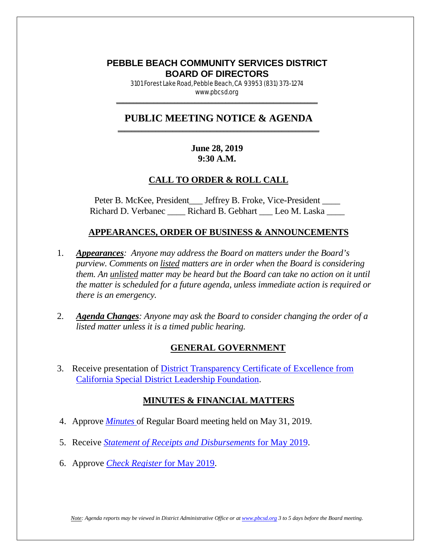### **PEBBLE BEACH COMMUNITY SERVICES DISTRICT BOARD OF DIRECTORS**

3101 Forest Lake Road, Pebble Beach, CA 93953 (831) 373-1274 www.pbcsd.org  $\frac{1}{2}$  ,  $\frac{1}{2}$  ,  $\frac{1}{2}$  ,  $\frac{1}{2}$  ,  $\frac{1}{2}$  ,  $\frac{1}{2}$  ,  $\frac{1}{2}$  ,  $\frac{1}{2}$  ,  $\frac{1}{2}$  ,  $\frac{1}{2}$  ,  $\frac{1}{2}$  ,  $\frac{1}{2}$  ,  $\frac{1}{2}$  ,  $\frac{1}{2}$  ,  $\frac{1}{2}$  ,  $\frac{1}{2}$  ,  $\frac{1}{2}$  ,  $\frac{1}{2}$  ,  $\frac{1$ 

#### **PUBLIC MEETING NOTICE & AGENDA \_\_\_\_\_\_\_\_\_\_\_\_\_\_\_\_\_\_\_\_\_\_\_\_\_\_\_\_\_\_\_\_\_\_\_\_\_\_\_\_\_\_\_\_\_\_\_\_\_\_\_\_\_\_\_\_\_\_\_**

### **June 28, 2019 9:30 A.M.**

### **CALL TO ORDER & ROLL CALL**

Peter B. McKee, President Leffrey B. Froke, Vice-President Legal Richard D. Verbanec \_\_\_\_\_ Richard B. Gebhart \_\_\_ Leo M. Laska \_\_\_\_

### **APPEARANCES, ORDER OF BUSINESS & ANNOUNCEMENTS**

- 1. *Appearances: Anyone may address the Board on matters under the Board's purview. Comments on listed matters are in order when the Board is considering them. An unlisted matter may be heard but the Board can take no action on it until the matter is scheduled for a future agenda, unless immediate action is required or there is an emergency.*
- 2. *Agenda Changes: Anyone may ask the Board to consider changing the order of a listed matter unless it is a timed public hearing.*

### **GENERAL GOVERNMENT**

3. Receive presentation of [District Transparency Certificate of Excellence from](http://pbcsd.org/wp-content/uploads/pbcsd/meetings/board/2019/2019-06-28/03-District-Transparency-Certificate-of-Excellence-from-CSDA.pdf)  [California Special District Leadership Foundation.](http://pbcsd.org/wp-content/uploads/pbcsd/meetings/board/2019/2019-06-28/03-District-Transparency-Certificate-of-Excellence-from-CSDA.pdf)

### **MINUTES & FINANCIAL MATTERS**

- 4. Approve *[Minutes](http://pbcsd.org/wp-content/uploads/pbcsd/meetings/board/2019/2019-06-28/04-19-0531-PBCSD-draft-minutes.pdf)* of Regular Board meeting held on May 31, 2019.
- 5. Receive *[Statement of Receipts and Disbursements](http://pbcsd.org/wp-content/uploads/pbcsd/meetings/board/2019/2019-06-28/05-Statement-of-Receipts-Disbursements-for-May-2019.pdf)* for May 2019.
- 6. Approve *[Check Register](http://pbcsd.org/wp-content/uploads/pbcsd/meetings/board/2019/2019-06-28/06-Check-Register-for-May-2019.pdf)* for May 2019.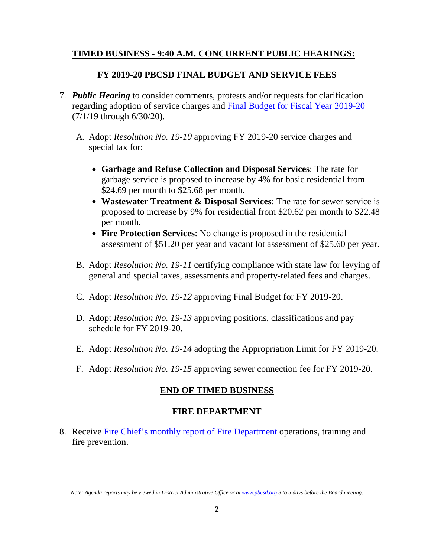# **TIMED BUSINESS - 9:40 A.M. CONCURRENT PUBLIC HEARINGS:**

# **FY 2019-20 PBCSD FINAL BUDGET AND SERVICE FEES**

- 7. *Public Hearing* to consider comments, protests and/or requests for clarification regarding adoption of service charges and [Final Budget for Fiscal Year 2019-20](http://pbcsd.org/wp-content/uploads/pbcsd/meetings/board/2019/2019-06-28/07-Final-Budget-Report-for-Fiscal-Year-2019-20.pdf) (7/1/19 through 6/30/20).
	- A. Adopt *Resolution No. 19-10* approving FY 2019-20 service charges and special tax for:
		- **Garbage and Refuse Collection and Disposal Services**: The rate for garbage service is proposed to increase by 4% for basic residential from \$24.69 per month to \$25.68 per month.
		- **Wastewater Treatment & Disposal Services**: The rate for sewer service is proposed to increase by 9% for residential from \$20.62 per month to \$22.48 per month.
		- **Fire Protection Services**: No change is proposed in the residential assessment of \$51.20 per year and vacant lot assessment of \$25.60 per year.
	- B. Adopt *Resolution No. 19-11* certifying compliance with state law for levying of general and special taxes, assessments and property-related fees and charges.
	- C. Adopt *Resolution No. 19-12* approving Final Budget for FY 2019-20.
	- D. Adopt *Resolution No. 19-13* approving positions, classifications and pay schedule for FY 2019-20.
	- E. Adopt *Resolution No. 19-14* adopting the Appropriation Limit for FY 2019-20.
	- F. Adopt *Resolution No. 19-15* approving sewer connection fee for FY 2019-20.

# **END OF TIMED BUSINESS**

# **FIRE DEPARTMENT**

8. Receive [Fire Chief's monthly report of Fire Department](http://pbcsd.org/wp-content/uploads/pbcsd/meetings/board/2019/2019-06-28/08-Fire-Chiefs-Monthly-Report-for-Fire-Department-May-15-to-June-15-2019.pdf) operations, training and fire prevention.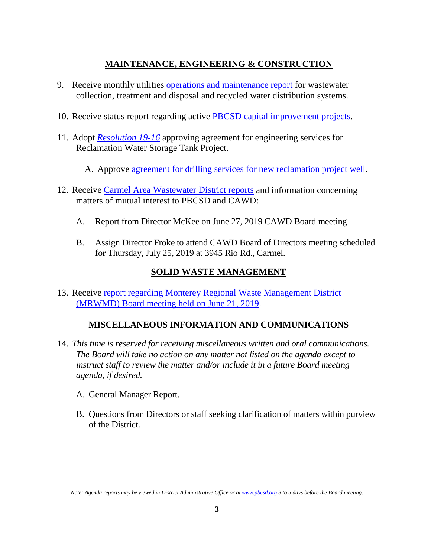# **MAINTENANCE, ENGINEERING & CONSTRUCTION**

- 9. Receive monthly utilities [operations and maintenance report](http://pbcsd.org/wp-content/uploads/pbcsd/meetings/board/2019/2019-06-28/09-Operations-Maintenance-Board-Report-June-2019.pdf) for wastewater collection, treatment and disposal and recycled water distribution systems.
- 10. Receive status report regarding active [PBCSD capital improvement projects.](http://pbcsd.org/wp-content/uploads/pbcsd/meetings/board/2019/2019-06-28/10-Capital-Improvement-Projects-Report.pdf)
- 11. Adopt *[Resolution 19-16](http://pbcsd.org/wp-content/uploads/pbcsd/meetings/board/2019/2019-06-28/11-RES-19-16-Approving-Agreement-for-Engineering-Services-for-Reclamation-Water-Storage-Tank-Project.pdf)* approving agreement for engineering services for Reclamation Water Storage Tank Project.
	- A. Approve [agreement for drilling services for new reclamation project well.](http://pbcsd.org/wp-content/uploads/pbcsd/meetings/board/2019/2019-06-28/11A-Agreement-for-Drillling-Services-for-New-Reclamation-Project-Well.pdf)
- 12. Receive [Carmel Area Wastewater District reports](http://pbcsd.org/wp-content/uploads/pbcsd/meetings/board/2019/2019-06-28/12-CAWD-Board-Meeting-Agenda-Reports-June-2019.pdf) and information concerning matters of mutual interest to PBCSD and CAWD:
	- A. Report from Director McKee on June 27, 2019 CAWD Board meeting
	- B. Assign Director Froke to attend CAWD Board of Directors meeting scheduled for Thursday, July 25, 2019 at 3945 Rio Rd., Carmel.

# **SOLID WASTE MANAGEMENT**

13. Receive report regarding Monterey Regional Waste Management District [\(MRWMD\) Board meeting held on June](http://pbcsd.org/wp-content/uploads/pbcsd/meetings/board/2019/2019-06-28/13-MRWMD-Board-Meeting-Agenda.pdf) 21, 2019.

# **MISCELLANEOUS INFORMATION AND COMMUNICATIONS**

- 14. *This time is reserved for receiving miscellaneous written and oral communications. The Board will take no action on any matter not listed on the agenda except to instruct staff to review the matter and/or include it in a future Board meeting agenda, if desired.*
	- A. General Manager Report.
	- B. Questions from Directors or staff seeking clarification of matters within purview of the District.